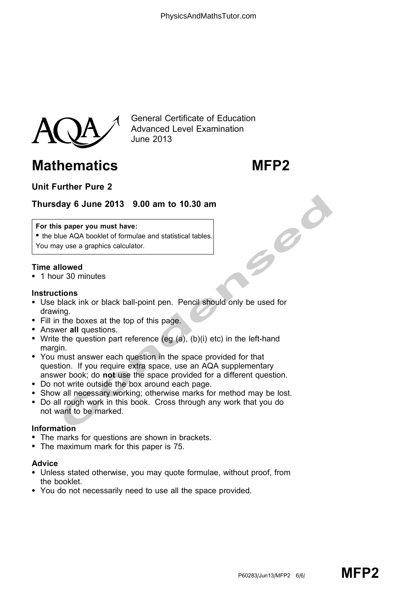

General Certificate of Education Advanced Level Examination June 2013

# Mathematics MFP2

# Unit Further Pure 2

## Thursday 6 June 2013 9.00 am to 10.30 am

#### For this paper you must have:

• the blue AQA booklet of formulae and statistical tables. You may use a graphics calculator.

### Time allowed

\* 1 hour 30 minutes

### **Instructions**

- \* Use black ink or black ball-point pen. Pencil should only be used for drawing.
- Fill in the boxes at the top of this page.
- Answer all questions.
- Write the question part reference (eg  $(a)$ ,  $(b)(i)$  etc) in the left-hand margin.
- May 6 June 2013 9.00 am to 10.30 am<br>
s paper you must have:<br>
lue AQA booklet of formulae and statistical tables.<br>
you we a graphics calculator.<br>
Ilowed<br>
ur 30 minutes<br>
with the obvess at the top of this page.<br>
the dock in • You must answer each question in the space provided for that question. If you require extra space, use an AQA supplementary answer book; do not use the space provided for a different question.
- \* Do not write outside the box around each page.
- Show all necessary working; otherwise marks for method may be lost.
- \* Do all rough work in this book. Cross through any work that you do not want to be marked.

### Information

- The marks for questions are shown in brackets.
- The maximum mark for this paper is 75.

#### Advice

- \* Unless stated otherwise, you may quote formulae, without proof, from the booklet.
- \* You do not necessarily need to use all the space provided.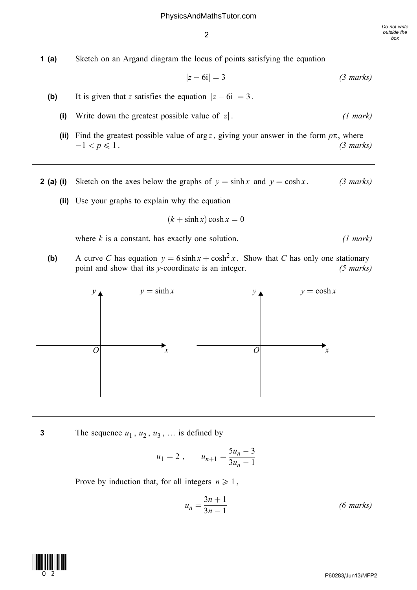1 (a) Sketch on an Argand diagram the locus of points satisfying the equation

$$
|z - 6i| = 3 \t\t (3 marks)
$$

- (b) It is given that z satisfies the equation  $|z 6i| = 3$ .
	- (i) Write down the greatest possible value of  $|z|$ . (1 mark)
	- (ii) Find the greatest possible value of arg z, giving your answer in the form  $p\pi$ , where  $-1 < p \leqslant 1$ . (3 marks)
- **2 (a) (i)** Sketch on the axes below the graphs of  $y = \sinh x$  and  $y = \cosh x$ . (3 marks)
	- (ii) Use your graphs to explain why the equation

 $(k + \sinh x) \cosh x = 0$ 

where  $k$  is a constant, has exactly one solution. (1 mark)

(b) A curve C has equation  $y = 6 \sinh x + \cosh^2 x$ . Show that C has only one stationary point and show that its y-coordinate is an integer. (5 marks)



3 The sequence  $u_1$ ,  $u_2$ ,  $u_3$ , ... is defined by

$$
u_1 = 2
$$
,  $u_{n+1} = \frac{5u_n - 3}{3u_n - 1}$ 

Prove by induction that, for all integers  $n \geq 1$ ,

$$
u_n = \frac{3n+1}{3n-1}
$$
 (6 marks)

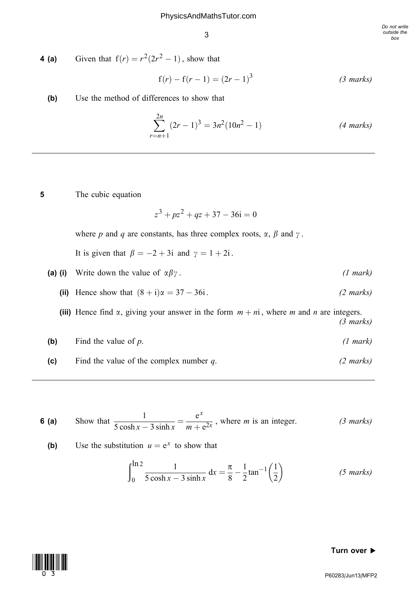**4 (a)** Given that  $f(r) = r^2(2r^2 - 1)$ , show that

$$
f(r) - f(r - 1) = (2r - 1)^3
$$
 (3 marks)

(b) Use the method of differences to show that

$$
\sum_{r=n+1}^{2n} (2r-1)^3 = 3n^2(10n^2-1)
$$
 (4 marks)

5 The cubic equation

$$
z^3 + pz^2 + qz + 37 - 36i = 0
$$

where p and q are constants, has three complex roots,  $\alpha$ ,  $\beta$  and  $\gamma$ .

It is given that  $\beta = -2 + 3i$  and  $\gamma = 1 + 2i$ .

- (a) (i) Write down the value of  $\alpha \beta \gamma$ . (1 mark)
	- (ii) Hence show that  $(8 + i)\alpha = 37 36i$ .  $(2 \text{ marks})$

(iii) Hence find  $\alpha$ , giving your answer in the form  $m + ni$ , where m and n are integers. (3 marks)

- (b) Find the value of  $p$ . (1 mark)
- (c) Find the value of the complex number  $q$ . (2 marks)

**6 (a)** Show that  $\frac{1}{5}$  $\frac{1}{5 \cosh x - 3 \sinh x} = \frac{e^x}{m + e^{2x}}$ , where *m* is an integer. (3 marks)

**(b)** Use the substitution 
$$
u = e^x
$$
 to show that

$$
\int_0^{\ln 2} \frac{1}{5 \cosh x - 3 \sinh x} dx = \frac{\pi}{8} - \frac{1}{2} \tan^{-1} \left(\frac{1}{2}\right)
$$
 (5 marks)

#### Turn over  $\blacktriangleright$